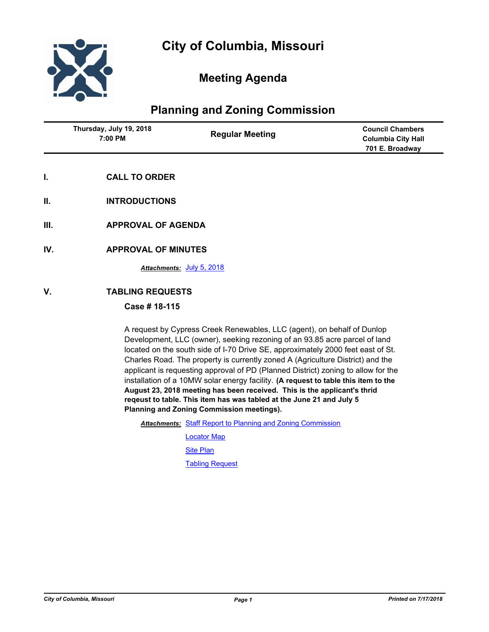

# **Meeting Agenda**

## **Planning and Zoning Commission**

| Thursday, July 19, 2018<br>7:00 PM | <b>Regular Meeting</b> | <b>Council Chambers</b><br><b>Columbia City Hall</b> |
|------------------------------------|------------------------|------------------------------------------------------|
|                                    |                        | 701 E. Broadway                                      |
|                                    |                        |                                                      |

- **I. CALL TO ORDER**
- **II. INTRODUCTIONS**
- **III. APPROVAL OF AGENDA**
- **IV. APPROVAL OF MINUTES**

*Attachments:* [July 5, 2018](http://gocolumbiamo.legistar.com/gateway.aspx?M=F&ID=9a51405e-b056-4177-927c-f498428d095e.rtf)

## **V. TABLING REQUESTS**

### **Case # 18-115**

A request by Cypress Creek Renewables, LLC (agent), on behalf of Dunlop Development, LLC (owner), seeking rezoning of an 93.85 acre parcel of land located on the south side of I-70 Drive SE, approximately 2000 feet east of St. Charles Road. The property is currently zoned A (Agriculture District) and the applicant is requesting approval of PD (Planned District) zoning to allow for the installation of a 10MW solar energy facility. **(A request to table this item to the August 23, 2018 meeting has been received. This is the applicant's thrid reqeust to table. This item has was tabled at the June 21 and July 5 Planning and Zoning Commission meetings).**

Attachments: [Staff Report to Planning and Zoning Commission](http://gocolumbiamo.legistar.com/gateway.aspx?M=F&ID=fdd3279d-63d8-46f9-b836-72f27ffe8216.docx)

[Locator Map](http://gocolumbiamo.legistar.com/gateway.aspx?M=F&ID=f0b19249-d3e6-49a5-bb3e-2f9f97b39b7d.pdf)

**[Site Plan](http://gocolumbiamo.legistar.com/gateway.aspx?M=F&ID=db814f8f-5fb1-43dd-9eb4-946cfa31f148.pdf)** 

[Tabling Request](http://gocolumbiamo.legistar.com/gateway.aspx?M=F&ID=488d4cd4-e3d0-496f-b97b-017af132e33d.pdf)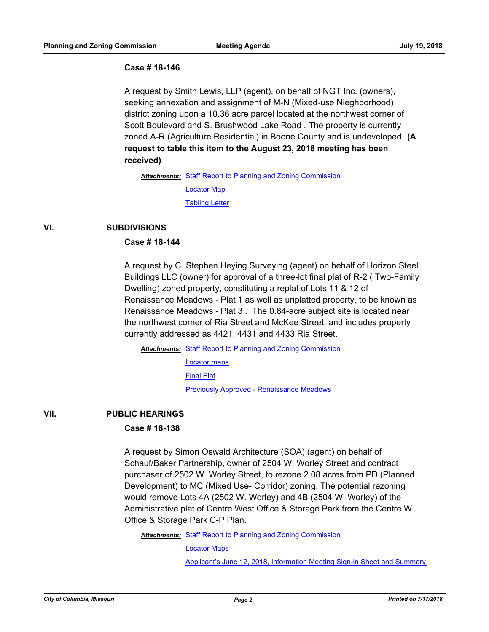#### **Case # 18-146**

A request by Smith Lewis, LLP (agent), on behalf of NGT Inc. (owners), seeking annexation and assignment of M-N (Mixed-use Nieghborhood) district zoning upon a 10.36 acre parcel located at the northwest corner of Scott Boulevard and S. Brushwood Lake Road . The property is currently zoned A-R (Agriculture Residential) in Boone County and is undeveloped. **(A request to table this item to the August 23, 2018 meeting has been received)**

Attachments: [Staff Report to Planning and Zoning Commission](http://gocolumbiamo.legistar.com/gateway.aspx?M=F&ID=d06719c1-8a6b-4cc9-9ae5-4fcd6a91000e.docx) [Locator Map](http://gocolumbiamo.legistar.com/gateway.aspx?M=F&ID=08985d19-434a-4eba-b08b-fb5310cf223b.pdf) **[Tabling Letter](http://gocolumbiamo.legistar.com/gateway.aspx?M=F&ID=a6ae14fa-fb2a-4e04-b9aa-7de1e07a26ab.pdf)** 

### **VI. SUBDIVISIONS**

## **Case # 18-144**

A request by C. Stephen Heying Surveying (agent) on behalf of Horizon Steel Buildings LLC (owner) for approval of a three-lot final plat of R-2 ( Two-Family Dwelling) zoned property, constituting a replat of Lots 11 & 12 of Renaissance Meadows - Plat 1 as well as unplatted property, to be known as Renaissance Meadows - Plat 3 . The 0.84-acre subject site is located near the northwest corner of Ria Street and McKee Street, and includes property currently addressed as 4421, 4431 and 4433 Ria Street.

Attachments: [Staff Report to Planning and Zoning Commission](http://gocolumbiamo.legistar.com/gateway.aspx?M=F&ID=2afd0e81-25a0-4833-aa74-350b7ad5a251.docx)

[Locator maps](http://gocolumbiamo.legistar.com/gateway.aspx?M=F&ID=a9607bd0-6790-4b31-99d6-5368c72444c9.pdf)

[Final Plat](http://gocolumbiamo.legistar.com/gateway.aspx?M=F&ID=9cc11d92-9f1c-40e2-a314-e85273e02c35.pdf)

[Previously Approved - Renaissance Meadows](http://gocolumbiamo.legistar.com/gateway.aspx?M=F&ID=eff2660b-06df-4439-8cc3-e856e329ec60.pdf)

#### **VII. PUBLIC HEARINGS**

#### **Case # 18-138**

A request by Simon Oswald Architecture (SOA) (agent) on behalf of Schauf/Baker Partnership, owner of 2504 W. Worley Street and contract purchaser of 2502 W. Worley Street, to rezone 2.08 acres from PD (Planned Development) to MC (Mixed Use- Corridor) zoning. The potential rezoning would remove Lots 4A (2502 W. Worley) and 4B (2504 W. Worley) of the Administrative plat of Centre West Office & Storage Park from the Centre W. Office & Storage Park C-P Plan.

Attachments: [Staff Report to Planning and Zoning Commission](http://gocolumbiamo.legistar.com/gateway.aspx?M=F&ID=c421f146-3788-404e-a7f5-72984dc23e15.docx)

[Locator Maps](http://gocolumbiamo.legistar.com/gateway.aspx?M=F&ID=8b09dfbc-42ff-40d9-8bb7-902feaa809bc.pdf)

[Applicant's June 12, 2018, Information Meeting Sign-in Sheet and Summary](http://gocolumbiamo.legistar.com/gateway.aspx?M=F&ID=b5fb6317-4d8a-40c1-8f8d-71b3ca174ee1.pdf)